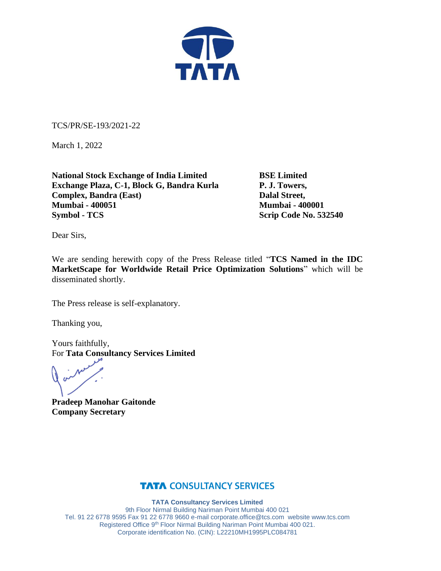

TCS/PR/SE-193/2021-22

March 1, 2022

**National Stock Exchange of India Limited BSE Limited Exchange Plaza, C-1, Block G, Bandra Kurla P. J. Towers, Complex, Bandra (East)** Dalal Street, **Mumbai - 400051 Mumbai - 400001 Symbol - TCS** Scrip Code No. 532540

Dear Sirs,

We are sending herewith copy of the Press Release titled "**TCS Named in the IDC MarketScape for Worldwide Retail Price Optimization Solutions**" which will be disseminated shortly.

The Press release is self-explanatory.

Thanking you,

Yours faithfully, For **Tata Consultancy Services Limited**

**Pradeep Manohar Gaitonde Company Secretary**

### **TATA CONSULTANCY SERVICES**

**TATA Consultancy Services Limited** 9th Floor Nirmal Building Nariman Point Mumbai 400 021 Tel. 91 22 6778 9595 Fax 91 22 6778 9660 e-mai[l corporate.office@tcs.com](mailto:corporate.office@tcs.com) website www.tcs.com Registered Office 9th Floor Nirmal Building Nariman Point Mumbai 400 021. Corporate identification No. (CIN): L22210MH1995PLC084781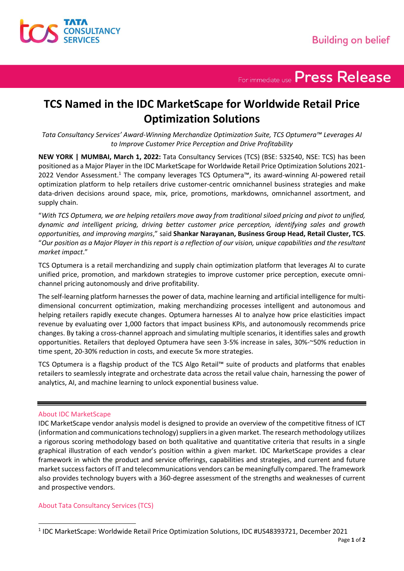

For immediate use Press Release

## **TCS Named in the IDC MarketScape for Worldwide Retail Price Optimization Solutions**

*Tata Consultancy Services' Award-Winning Merchandize Optimization Suite, TCS Optumera™ Leverages AI to Improve Customer Price Perception and Drive Profitability*

**NEW YORK | MUMBAI, March 1, 2022:** Tata Consultancy Services (TCS) (BSE: 532540, NSE: TCS) has been positioned as a Major Player in the IDC MarketScape for Worldwide Retail Price Optimization Solutions 2021- 2022 Vendor Assessment.<sup>1</sup> The company leverages TCS Optumera™, its award-winning AI-powered retail optimization platform to help retailers drive customer-centric omnichannel business strategies and make data-driven decisions around space, mix, price, promotions, markdowns, omnichannel assortment, and supply chain.

"*With TCS Optumera, we are helping retailers move away from traditional siloed pricing and pivot to unified, dynamic and intelligent pricing, driving better customer price perception, identifying sales and growth opportunities, and improving margins*," said **Shankar Narayanan, Business Group Head, Retail Cluster, TCS**. "*Our position as a Major Player in this report is a reflection of our vision, unique capabilities and the resultant market impact*."

TCS Optumera is a retail merchandizing and supply chain optimization platform that leverages AI to curate unified price, promotion, and markdown strategies to improve customer price perception, execute omnichannel pricing autonomously and drive profitability.

The self-learning platform harnesses the power of data, machine learning and artificial intelligence for multidimensional concurrent optimization, making merchandizing processes intelligent and autonomous and helping retailers rapidly execute changes. Optumera harnesses AI to analyze how price elasticities impact revenue by evaluating over 1,000 factors that impact business KPIs, and autonomously recommends price changes. By taking a cross-channel approach and simulating multiple scenarios, it identifies sales and growth opportunities. Retailers that deployed Optumera have seen 3-5% increase in sales, 30%-~50% reduction in time spent, 20-30% reduction in costs, and execute 5x more strategies.

TCS Optumera is a flagship product of the TCS Algo Retail™ suite of products and platforms that enables retailers to seamlessly integrate and orchestrate data across the retail value chain, harnessing the power of analytics, AI, and machine learning to unlock exponential business value.

#### About IDC MarketScape

IDC MarketScape vendor analysis model is designed to provide an overview of the competitive fitness of ICT (information and communications technology) suppliers in a given market. The research methodology utilizes a rigorous scoring methodology based on both qualitative and quantitative criteria that results in a single graphical illustration of each vendor's position within a given market. IDC MarketScape provides a clear framework in which the product and service offerings, capabilities and strategies, and current and future market success factors of IT and telecommunications vendors can be meaningfully compared. The framework also provides technology buyers with a 360-degree assessment of the strengths and weaknesses of current and prospective vendors.

#### About Tata Consultancy Services (TCS)

<sup>1</sup> IDC MarketScape: Worldwide Retail Price Optimization Solutions, IDC #US48393721, December 2021